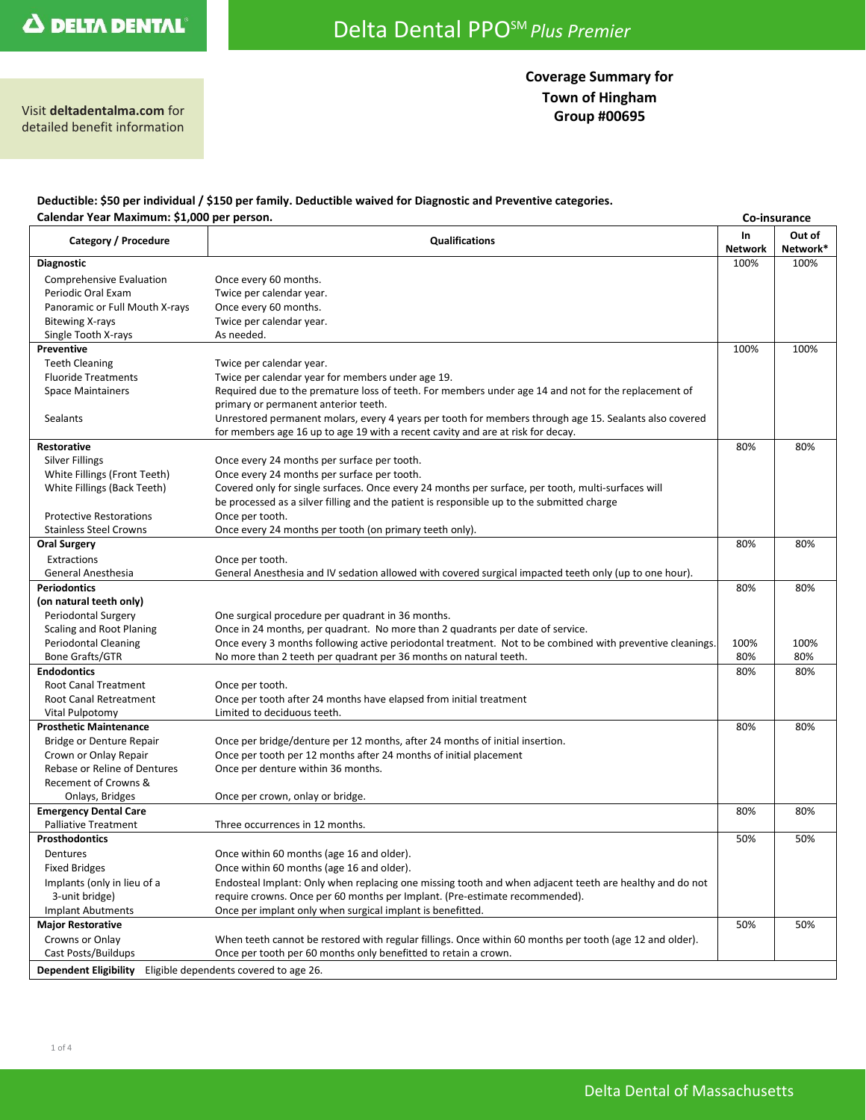# **Coverage Summary for Town of Hingham**

**Group #00695** Visit **deltadentalma.com** for detailed benefit information

#### **Deductible: \$50 per individual / \$150 per family. Deductible waived for Diagnostic and Preventive categories. Calendar Year Maximum: \$1,000 per person. Co-insurance**

| caichadh Tear Maximann: 91,000                                         |                                                                                                                                                   |                       | co-mourance        |  |  |
|------------------------------------------------------------------------|---------------------------------------------------------------------------------------------------------------------------------------------------|-----------------------|--------------------|--|--|
| Category / Procedure                                                   | <b>Qualifications</b>                                                                                                                             | In.<br><b>Network</b> | Out of<br>Network* |  |  |
| <b>Diagnostic</b>                                                      |                                                                                                                                                   | 100%                  | 100%               |  |  |
| Comprehensive Evaluation                                               | Once every 60 months.                                                                                                                             |                       |                    |  |  |
| Periodic Oral Exam                                                     | Twice per calendar year.                                                                                                                          |                       |                    |  |  |
| Panoramic or Full Mouth X-rays                                         | Once every 60 months.                                                                                                                             |                       |                    |  |  |
| <b>Bitewing X-rays</b>                                                 | Twice per calendar year.                                                                                                                          |                       |                    |  |  |
| Single Tooth X-rays                                                    | As needed.                                                                                                                                        |                       |                    |  |  |
| <b>Preventive</b>                                                      |                                                                                                                                                   | 100%                  | 100%               |  |  |
| <b>Teeth Cleaning</b>                                                  | Twice per calendar year.                                                                                                                          |                       |                    |  |  |
| <b>Fluoride Treatments</b>                                             | Twice per calendar year for members under age 19.                                                                                                 |                       |                    |  |  |
| <b>Space Maintainers</b>                                               | Required due to the premature loss of teeth. For members under age 14 and not for the replacement of                                              |                       |                    |  |  |
|                                                                        | primary or permanent anterior teeth.                                                                                                              |                       |                    |  |  |
| Sealants                                                               | Unrestored permanent molars, every 4 years per tooth for members through age 15. Sealants also covered                                            |                       |                    |  |  |
|                                                                        | for members age 16 up to age 19 with a recent cavity and are at risk for decay.                                                                   |                       |                    |  |  |
| <b>Restorative</b>                                                     |                                                                                                                                                   | 80%                   | 80%                |  |  |
| <b>Silver Fillings</b>                                                 | Once every 24 months per surface per tooth.                                                                                                       |                       |                    |  |  |
| White Fillings (Front Teeth)                                           | Once every 24 months per surface per tooth.                                                                                                       |                       |                    |  |  |
| White Fillings (Back Teeth)                                            | Covered only for single surfaces. Once every 24 months per surface, per tooth, multi-surfaces will                                                |                       |                    |  |  |
|                                                                        | be processed as a silver filling and the patient is responsible up to the submitted charge                                                        |                       |                    |  |  |
| <b>Protective Restorations</b>                                         | Once per tooth.                                                                                                                                   |                       |                    |  |  |
| <b>Stainless Steel Crowns</b>                                          | Once every 24 months per tooth (on primary teeth only).                                                                                           |                       |                    |  |  |
| <b>Oral Surgery</b>                                                    |                                                                                                                                                   | 80%                   | 80%                |  |  |
| Extractions                                                            | Once per tooth.                                                                                                                                   |                       |                    |  |  |
| <b>General Anesthesia</b>                                              | General Anesthesia and IV sedation allowed with covered surgical impacted teeth only (up to one hour).                                            |                       |                    |  |  |
| <b>Periodontics</b>                                                    |                                                                                                                                                   | 80%                   | 80%                |  |  |
| (on natural teeth only)                                                |                                                                                                                                                   |                       |                    |  |  |
| Periodontal Surgery                                                    | One surgical procedure per quadrant in 36 months.                                                                                                 |                       |                    |  |  |
| Scaling and Root Planing                                               | Once in 24 months, per quadrant. No more than 2 quadrants per date of service.                                                                    |                       |                    |  |  |
| Periodontal Cleaning                                                   | Once every 3 months following active periodontal treatment. Not to be combined with preventive cleanings.                                         | 100%                  | 100%               |  |  |
| Bone Grafts/GTR                                                        | No more than 2 teeth per quadrant per 36 months on natural teeth.                                                                                 | 80%                   | 80%                |  |  |
| <b>Endodontics</b>                                                     |                                                                                                                                                   | 80%                   | 80%                |  |  |
| <b>Root Canal Treatment</b>                                            | Once per tooth.                                                                                                                                   |                       |                    |  |  |
| Root Canal Retreatment                                                 | Once per tooth after 24 months have elapsed from initial treatment                                                                                |                       |                    |  |  |
| Vital Pulpotomy                                                        | Limited to deciduous teeth.                                                                                                                       |                       |                    |  |  |
| <b>Prosthetic Maintenance</b>                                          |                                                                                                                                                   | 80%                   | 80%                |  |  |
| Bridge or Denture Repair                                               | Once per bridge/denture per 12 months, after 24 months of initial insertion.<br>Once per tooth per 12 months after 24 months of initial placement |                       |                    |  |  |
| Crown or Onlay Repair<br>Rebase or Reline of Dentures                  | Once per denture within 36 months.                                                                                                                |                       |                    |  |  |
| Recement of Crowns &                                                   |                                                                                                                                                   |                       |                    |  |  |
| Onlays, Bridges                                                        | Once per crown, onlay or bridge.                                                                                                                  |                       |                    |  |  |
| <b>Emergency Dental Care</b>                                           |                                                                                                                                                   | 80%                   | 80%                |  |  |
| <b>Palliative Treatment</b>                                            | Three occurrences in 12 months.                                                                                                                   |                       |                    |  |  |
| <b>Prosthodontics</b>                                                  |                                                                                                                                                   | 50%                   | 50%                |  |  |
| Dentures                                                               | Once within 60 months (age 16 and older).                                                                                                         |                       |                    |  |  |
| <b>Fixed Bridges</b>                                                   | Once within 60 months (age 16 and older).                                                                                                         |                       |                    |  |  |
| Implants (only in lieu of a                                            | Endosteal Implant: Only when replacing one missing tooth and when adjacent teeth are healthy and do not                                           |                       |                    |  |  |
| 3-unit bridge)                                                         | require crowns. Once per 60 months per Implant. (Pre-estimate recommended).                                                                       |                       |                    |  |  |
| Implant Abutments                                                      | Once per implant only when surgical implant is benefitted.                                                                                        |                       |                    |  |  |
| <b>Major Restorative</b>                                               |                                                                                                                                                   | 50%                   | 50%                |  |  |
| Crowns or Onlay                                                        | When teeth cannot be restored with regular fillings. Once within 60 months per tooth (age 12 and older).                                          |                       |                    |  |  |
| Cast Posts/Buildups                                                    | Once per tooth per 60 months only benefitted to retain a crown.                                                                                   |                       |                    |  |  |
|                                                                        |                                                                                                                                                   |                       |                    |  |  |
| Eligible dependents covered to age 26.<br><b>Dependent Eligibility</b> |                                                                                                                                                   |                       |                    |  |  |